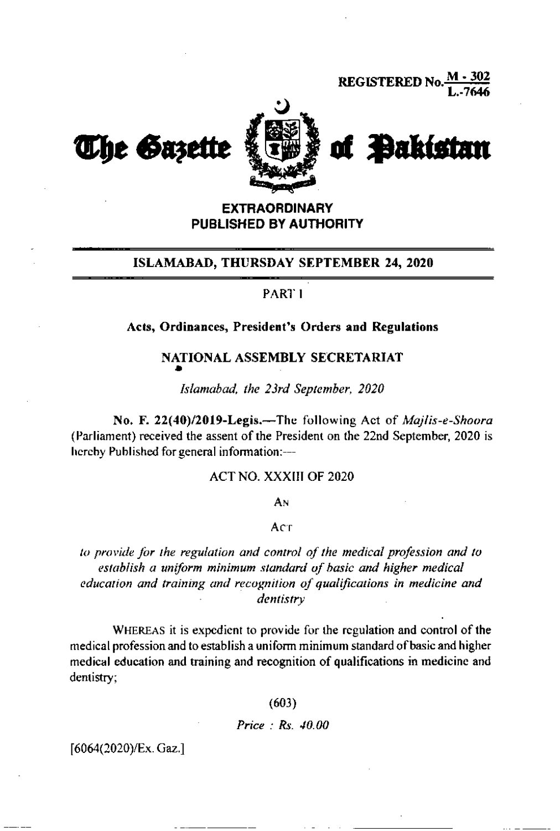**REGISTERED No.** 



**EXTRAORDINARY PUBLISHED BY AUTHORITY** 

# ISLAMABAD, THURSDAY SEPTEMBER 24, 2020

## PART<sub>1</sub>

## Acts, Ordinances, President's Orders and Regulations

# NATIONAL ASSEMBLY SECRETARIAT

Islamabad, the 23rd September, 2020

No. F. 22(40)/2019-Legis.-The following Act of Majlis-e-Shoora (Parliament) received the assent of the President on the 22nd September, 2020 is hereby Published for general information:---

### **ACT NO. XXXIII OF 2020**

Aм

#### Acr

to provide for the regulation and control of the medical profession and to establish a uniform minimum standard of basic and higher medical education and training and recognition of qualifications in medicine and dentistry

WHEREAS it is expedient to provide for the regulation and control of the medical profession and to establish a uniform minimum standard of basic and higher medical education and training and recognition of qualifications in medicine and dentistry;

 $(603)$ 

Price:  $Rs.40.00$ 

[6064(2020)/Ex. Gaz.]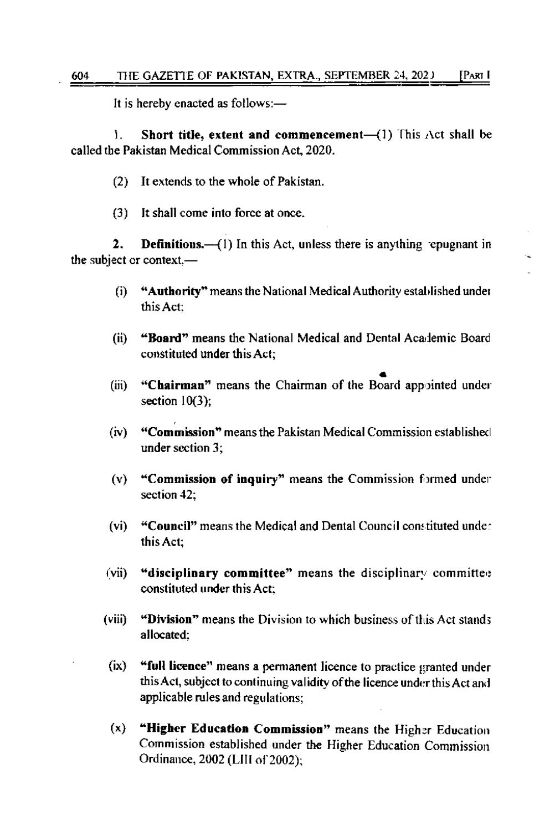It is hereby enacted as follows:—

Short title, extent and commencement- $(1)$  This Act shall be ħ. called the Pakistan Medical Commission Act, 2020.

- (2) It extends to the whole of Pakistan.
- It shall come into force at once.  $(3)$

 $2.$ **Definitions.** $-(1)$  In this Act, unless there is anything repugnant in the subject or context.-

- $(i)$ "Authority" means the National Medical Authority established under this Act:
- "Board" means the National Medical and Dental Academic Board  $(ii)$ constituted under this Act;
- "Chairman" means the Chairman of the Board appointed under  $(iii)$ section  $10(3)$ ;
- "Commission" means the Pakistan Medical Commission established  $(iv)$ under section 3:
- "Commission of inquiry" means the Commission formed under  $(v)$ section 42:
- $(vi)$ "Council" means the Medical and Dental Council constituted under this Act:
- "disciplinary committee" means the disciplinary committee  $(vii)$ constituted under this Act:
- $(viii)$ "Division" means the Division to which business of this Act stands allocated:
- $(ix)$ "full licence" means a permanent licence to practice granted under this Act, subject to continuing validity of the licence under this Act and applicable rules and regulations;
- $(x)$ "Higher Education Commission" means the Higher Education Commission established under the Higher Education Commission Ordinance, 2002 (LIH of 2002):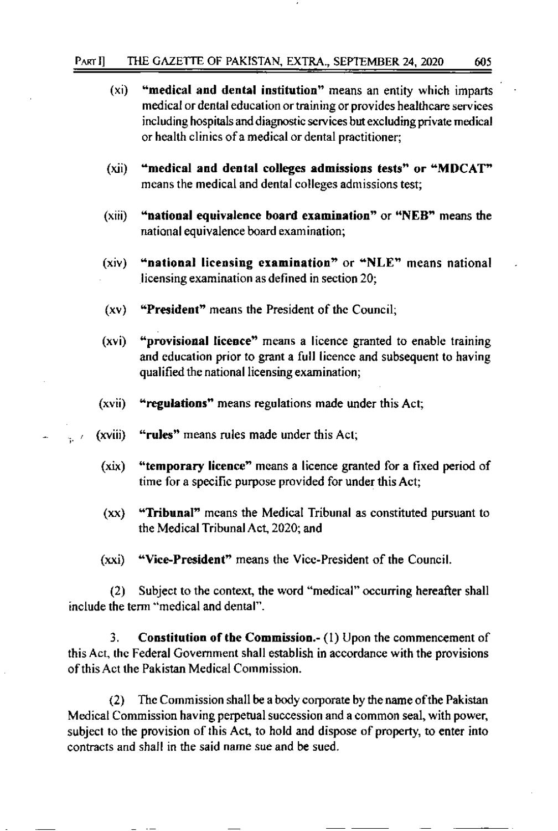- "medical and dental institution" means an entity which imparts  $(x<sub>i</sub>)$ medical or dental education or training or provides healthcare services including hospitals and diagnostic services but excluding private medical or health clinics of a medical or dental practitioner;
- "medical and dental colleges admissions tests" or "MDCAT"  $(xii)$ means the medical and dental colleges admissions test;
- $(xiii)$ "national equivalence board examination" or "NEB" means the national equivalence board examination:
- "national licensing examination" or "NLE" means national  $(xiv)$ licensing examination as defined in section 20;
- "President" means the President of the Council;  $(xy)$
- "provisional licence" means a licence granted to enable training  $(xvi)$ and education prior to grant a full licence and subsequent to having qualified the national licensing examination;
- $(xvii)$ "regulations" means regulations made under this Act;
- "rules" means rules made under this Act; (xviii)
	- $(xix)$ "temporary licence" means a licence granted for a fixed period of time for a specific purpose provided for under this Act;
	- $(xx)$ "Tribunal" means the Medical Tribunal as constituted pursuant to the Medical Tribunal Act, 2020; and
	- "Vice-President" means the Vice-President of the Council.  $(xxi)$

 $(2)$ Subject to the context, the word "medical" occurring hereafter shall include the term "medical and dental".

**Constitution of the Commission.**- (1) Upon the commencement of 3. this Act, the Federal Government shall establish in accordance with the provisions of this Act the Pakistan Medical Commission.

The Commission shall be a body corporate by the name of the Pakistan  $(2)$ Medical Commission having perpetual succession and a common seal, with power, subject to the provision of this Act, to hold and dispose of property, to enter into contracts and shall in the said name sue and be sued.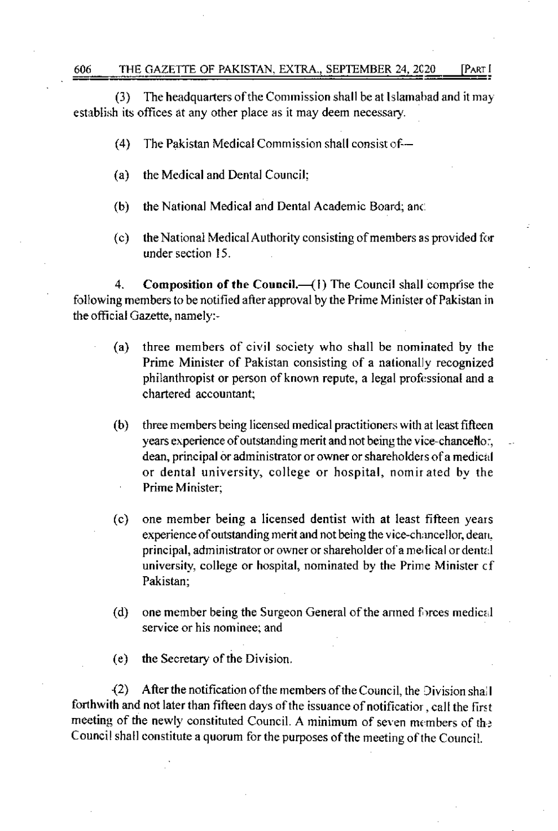### 606 THE GAZETTE OF PAKISTAN, EXTRA., SEPTEMBER 24, 2C20 [PART I

(3) The headquarters of the Commission shall be at Islamabad and it may establish its offices at any other place as it may deem necessary.

- $(4)$  The Pakistan Medical Commission shall consist of  $-$
- (a) the Medical and Dental Council;
- (b) the National Medical and Dental Academic Board; and
- $(c)$  the National Medical Authority consisting of members as provided for under section l5

4. Composition of the Council.—(1) The Council shall comprise the following members to be notified after approval by the Prime Minister of Pakistan in the official Gazette, namely:-

- (a) three members of civil society who shall be nominated by the Prime Minister of Pakistan consisting of a nationally recognized philanthropist or person of known repute, a legal professional and a chartered accountant:
- $(b)$  three members being licensed medical practitioners with at least fifteen years experience of outstanding merit and not being the vice-chancello:, dean, principal or administrator or owner or shareholders of a medical or dental university, collcge or hospital, nomirated by the Prime Minister:
- (c) one member being a licensed dentist with at least fifteen years experience of outstanding merit and not being the vice-chancellor, deart. principal, administrator or owner or shareholder of a medical or dental university, college or hospital, nominated by the Prime Minister cf Pakistan:
- (d) one member being the Surgeon General of the armed forces medical service or his nominee. and
- $(e)$  the Secretary of the Division.

 $(2)$  After the notification of the members of the Council, the Division shall forthwith and not later than fifteen days of the issuance of notificatior, call the first meeting of the newly constituted Council. A minimum of seven members of the Council shall constitute a quorum for the purposes of the meeting of the Council.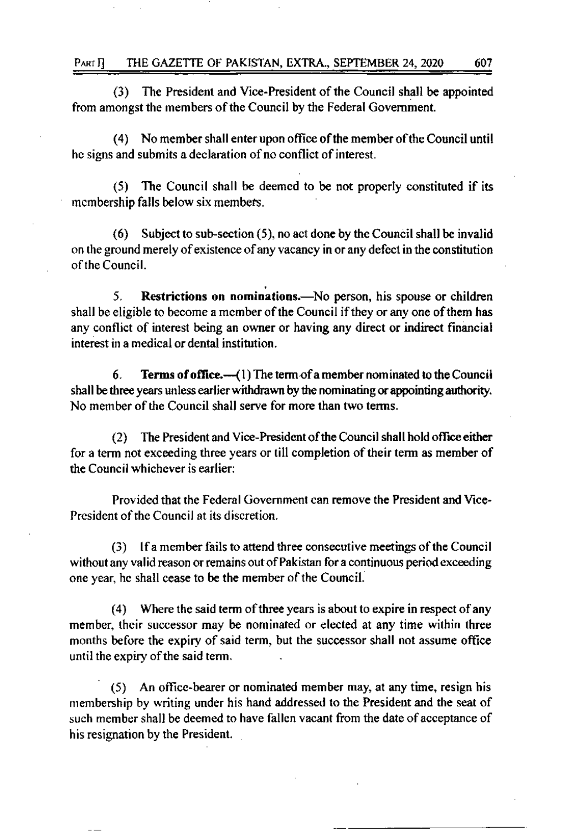(3) The President and Vice-President of the Council shall be appointed from amongst the members of the Council by the Federal Government.

(4) No member shall enter upon office of the member of the Council until he signs and submits a declaration of no conflict of interest.

The Council shall be deemed to be not properly constituted if its  $(5)$ membership falls below six members.

Subject to sub-section (5), no act done by the Council shall be invalid  $(6)$ on the ground merely of existence of any vacancy in or any defect in the constitution of the Council.

5. Restrictions on nominations.—No person, his spouse or children shall be eligible to become a member of the Council if they or any one of them has any conflict of interest being an owner or having any direct or indirect financial interest in a medical or dental institution.

6. Terms of office.—(1) The term of a member nominated to the Council shall be three years unless earlier withdrawn by the nominating or appointing authority. No member of the Council shall serve for more than two terms.

The President and Vice-President of the Council shall hold office either  $(2)$ for a term not exceeding three years or till completion of their term as member of the Council whichever is earlier:

Provided that the Federal Government can remove the President and Vice-President of the Council at its discretion.

If a member fails to attend three consecutive meetings of the Council  $(3)$ without any valid reason or remains out of Pakistan for a continuous period exceeding one year, he shall cease to be the member of the Council.

 $(4)$ Where the said term of three years is about to expire in respect of any member, their successor may be nominated or elected at any time within three months before the expiry of said term, but the successor shall not assume office until the expiry of the said term.

An office-bearer or nominated member may, at any time, resign his  $(5)$ membership by writing under his hand addressed to the President and the seat of such member shall be deemed to have fallen vacant from the date of acceptance of his resignation by the President.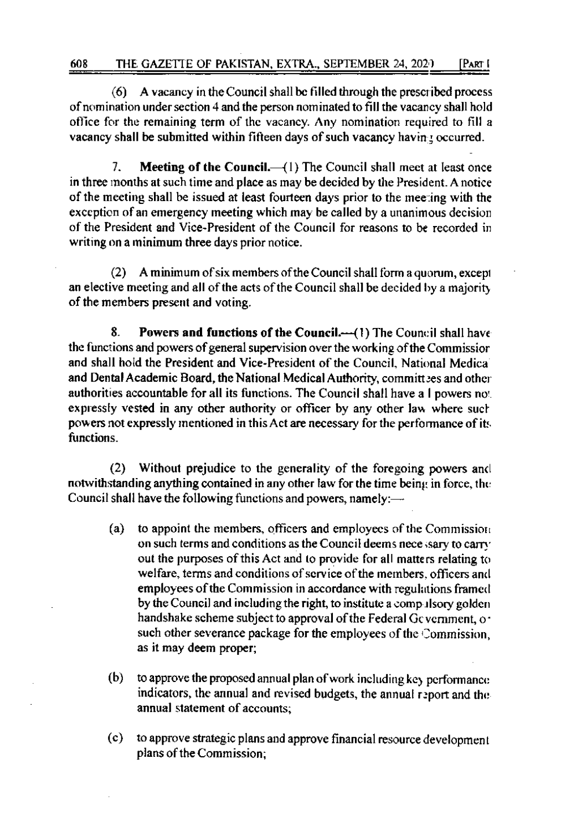A vacancy in the Council shall be filled through the prescribed process  $(6)$ of nomination under section 4 and the person nominated to fill the vacancy shall hold office for the remaining term of the vacancy. Any nomination required to fill a vacancy shall be submitted within fifteen days of such vacancy having occurred.

7. **Meeting of the Council.**  $\rightarrow$  (1) The Council shall meet at least once in three months at such time and place as may be decided by the President. A notice of the meeting shall be issued at least fourteen days prior to the meeting with the exception of an emergency meeting which may be called by a unanimous decision of the President and Vice-President of the Council for reasons to be recorded in writing on a minimum three days prior notice.

A minimum of six members of the Council shall form a quorum, except  $(2)$ an elective meeting and all of the acts of the Council shall be decided by a majority of the members present and voting.

8. Powers and functions of the Council.—(1) The Council shall have the functions and powers of general supervision over the working of the Commissior and shall hold the President and Vice-President of the Council, National Medica and Dental Academic Board, the National Medical Authority, committees and other authorities accountable for all its functions. The Council shall have a I powers not expressly vested in any other authority or officer by any other law where such powers not expressly mentioned in this Act are necessary for the performance of its functions

 $(2)$ Without prejudice to the generality of the foregoing powers and notwithstanding anything contained in any other law for the time being in force, the Council shall have the following functions and powers, namely:-

- $(a)$ to appoint the members, officers and employees of the Commission on such terms and conditions as the Council deems nece sary to carry out the purposes of this Act and to provide for all matters relating to welfare, terms and conditions of service of the members, officers and employees of the Commission in accordance with regulations framed by the Council and including the right, to institute a compulsory golden handshake scheme subject to approval of the Federal Gc vernment, or such other severance package for the employees of the Commission. as it may deem proper;
- $(b)$ to approve the proposed annual plan of work including key performance indicators, the annual and revised budgets, the annual report and the annual statement of accounts:
- to approve strategic plans and approve financial resource development  $(c)$ plans of the Commission;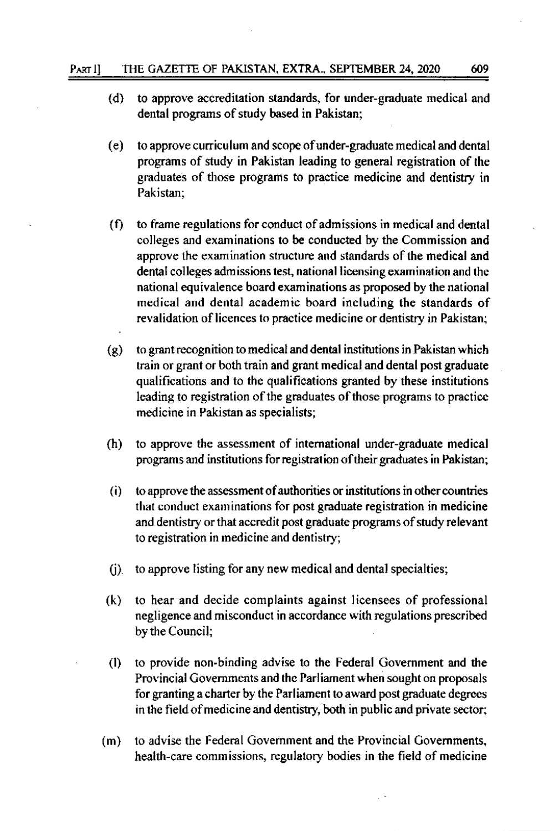#### Part I] THE GAZETTE OF PAKISTAN, EXTRA., SEPTEMBER 24, 2020

 $(d)$ to approve accreditation standards, for under-graduate medical and dental programs of study based in Pakistan;

609

- (e) to approve curriculum and scope of under-graduate medical and dental programs of study in Pakistan leading to general registration of the graduates of those programs to practice medicine and dentistry in Pakistan:
- $(f)$ to frame regulations for conduct of admissions in medical and dental colleges and examinations to be conducted by the Commission and approve the examination structure and standards of the medical and dental colleges admissions test, national licensing examination and the national equivalence board examinations as proposed by the national medical and dental academic board including the standards of revalidation of licences to practice medicine or dentistry in Pakistan;
- $\left( \mathbf{g} \right)$ to grant recognition to medical and dental institutions in Pakistan which train or grant or both train and grant medical and dental post graduate qualifications and to the qualifications granted by these institutions leading to registration of the graduates of those programs to practice medicine in Pakistan as specialists;
- $(h)$ to approve the assessment of international under-graduate medical programs and institutions for registration of their graduates in Pakistan;
- $(i)$ to approve the assessment of authorities or institutions in other countries that conduct examinations for post graduate registration in medicine and dentistry or that accredit post graduate programs of study relevant to registration in medicine and dentistry;
- to approve listing for any new medical and dental specialties;  $(j)$ .
- $(k)$ to hear and decide complaints against licensees of professional negligence and misconduct in accordance with regulations prescribed by the Council;
- to provide non-binding advise to the Federal Government and the  $\left( \mathbf{l}\right)$ Provincial Governments and the Parliament when sought on proposals for granting a charter by the Parliament to award post graduate degrees in the field of medicine and dentistry, both in public and private sector;
- to advise the Federal Government and the Provincial Governments,  $(m)$ health-care commissions, regulatory bodies in the field of medicine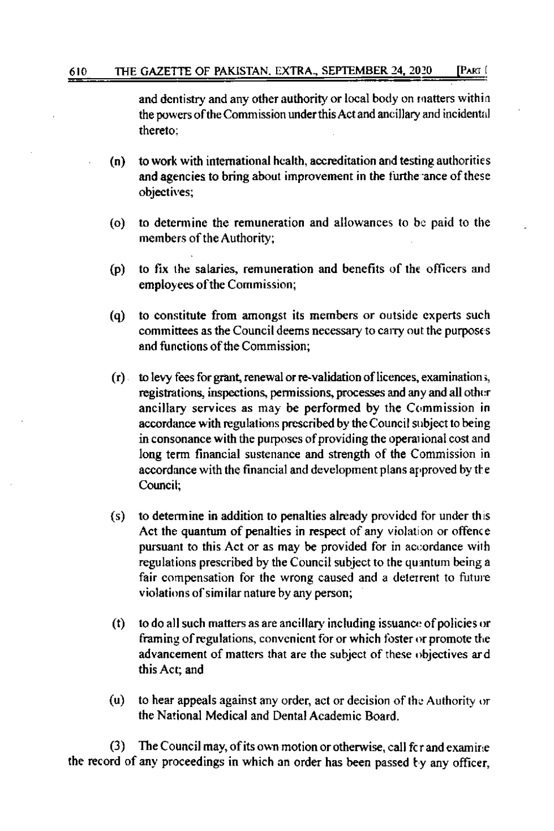#### 610 THE GAZETTE OF PAKISTAN, EXTRA., SEPTEMBER 24, 2020 [Pakt [

and dentistry and any other authority or local body on matters within the powers of the Commission under this Act and ancillary and incidental thereto:

- to work with international health, accreditation and testing authorities  $(n)$ and agencies to bring about improvement in the furthe ance of these objectives;
- to determine the remuneration and allowances to be paid to the  $\left( 0 \right)$ members of the Authority;
- $(p)$ to fix the salaries, remuneration and benefits of the officers and employees of the Commission;
- to constitute from amongst its members or outside experts such  $(q)$ committees as the Council deems necessary to carry out the purposes and functions of the Commission:
- (r) to levy fees for grant, renewal or re-validation of licences, examination s, registrations, inspections, permissions, processes and any and all other ancillary services as may be performed by the Commission in accordance with regulations prescribed by the Council subject to being in consonance with the purposes of providing the operational cost and long term financial sustenance and strength of the Commission in accordance with the financial and development plans approved by the Council:
- to determine in addition to penalties already provided for under this  $(s)$ Act the quantum of penalties in respect of any violation or offence pursuant to this Act or as may be provided for in accordance with regulations prescribed by the Council subject to the quantum being a fair compensation for the wrong caused and a deterrent to future violations of similar nature by any person;
- $(t)$ to do all such matters as are ancillary including issuance of policies or framing of regulations, convenient for or which foster or promote the advancement of matters that are the subject of these objectives ard this Act; and
- $(u)$ to hear appeals against any order, act or decision of the Authority or the National Medical and Dental Academic Board.

 $(3)$ The Council may, of its own motion or otherwise, call for and examine the record of any proceedings in which an order has been passed by any officer.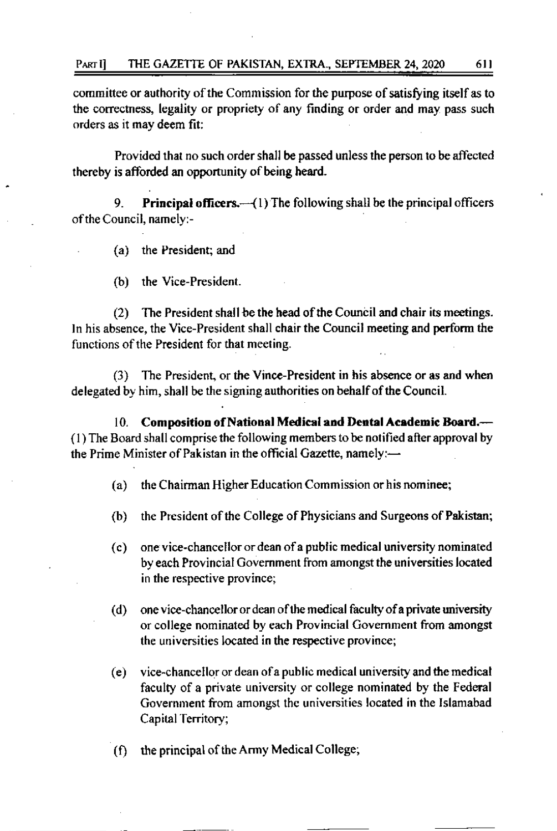committee or authority of the Commission for the purpose of satisfying itself as to the correctness, legality or propriety of any finding or order and may pass such orders as it may deem fit:

Provided that no such order shall be passed unless the person to be affected thereby is afforded an opportunity of being heard.

9. **Principal officers.**  $\left(\frac{1}{1}\right)$  The following shall be the principal officers of the Council, namely:-

(a) the President; and

(b) the Vice-President.

(2) The President shall be the head of the Council and chair its meetings. In his absence, the Vice-President shall chair the Council meeting and perform the functions of the President for that meeting.

The President, or the Vince-President in his absence or as and when  $(3)$ delegated by him, shall be the signing authorities on behalf of the Council.

10. Composition of National Medical and Dental Academic Board.-(1) The Board shall comprise the following members to be notified after approval by the Prime Minister of Pakistan in the official Gazette, namely:-

- the Chairman Higher Education Commission or his nominee;  $(a)$
- the President of the College of Physicians and Surgeons of Pakistan;  $(b)$
- one vice-chancellor or dean of a public medical university nominated  $(c)$ by each Provincial Government from amongst the universities located in the respective province;
- one vice-chancellor or dean of the medical faculty of a private university  $(d)$ or college nominated by each Provincial Government from amongst the universities located in the respective province;
- vice-chancellor or dean of a public medical university and the medical  $(e)$ faculty of a private university or college nominated by the Federal Government from amongst the universities located in the Islamabad Capital Territory;
- the principal of the Army Medical College;  $(f)$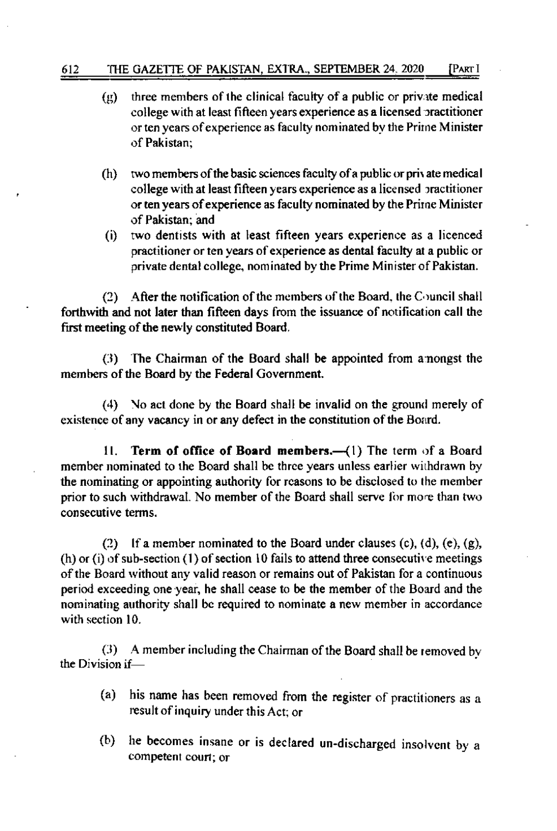#### 612 THE GAZETTE OF PAKISTAN, EXTRA., SEPTEMBER 24, 2020 [Part I

- three members of the clinical faculty of a public or private medical  $\left( \mathbf{g} \right)$ college with at least fifteen years experience as a licensed practitioner or ten years of experience as faculty nominated by the Prime Minister of Pakistan:
- two members of the basic sciences faculty of a public or private medical  $(h)$ college with at least fifteen years experience as a licensed practitioner or ten years of experience as faculty nominated by the Prime Minister of Pakistan: and
- two dentists with at least fifteen years experience as a licenced  $(i)$ practitioner or ten years of experience as dental faculty at a public or private dental college, nominated by the Prime Minister of Pakistan.

(2) After the notification of the members of the Board, the Council shall forthwith and not later than fifteen days from the issuance of notification call the first meeting of the newly constituted Board.

(3) The Chairman of the Board shall be appointed from a nongst the members of the Board by the Federal Government.

(4) No act done by the Board shall be invalid on the ground merely of existence of any vacancy in or any defect in the constitution of the Board.

Term of office of Board members.-(1) The term of a Board 11. member nominated to the Board shall be three years unless earlier withdrawn by the nominating or appointing authority for reasons to be disclosed to the member prior to such withdrawal. No member of the Board shall serve for more than two consecutive terms.

(2) If a member nominated to the Board under clauses (c), (d), (e), (g), (h) or (i) of sub-section (1) of section 10 fails to attend three consecutive meetings of the Board without any valid reason or remains out of Pakistan for a continuous period exceeding one year, he shall cease to be the member of the Board and the nominating authority shall be required to nominate a new member in accordance with section 10.

(3) A member including the Chairman of the Board shall be removed by the Division if-

- his name has been removed from the register of practitioners as a  $(a)$ result of inquiry under this Act; or
- $(b)$ he becomes insane or is declared un-discharged insolvent by a competent court; or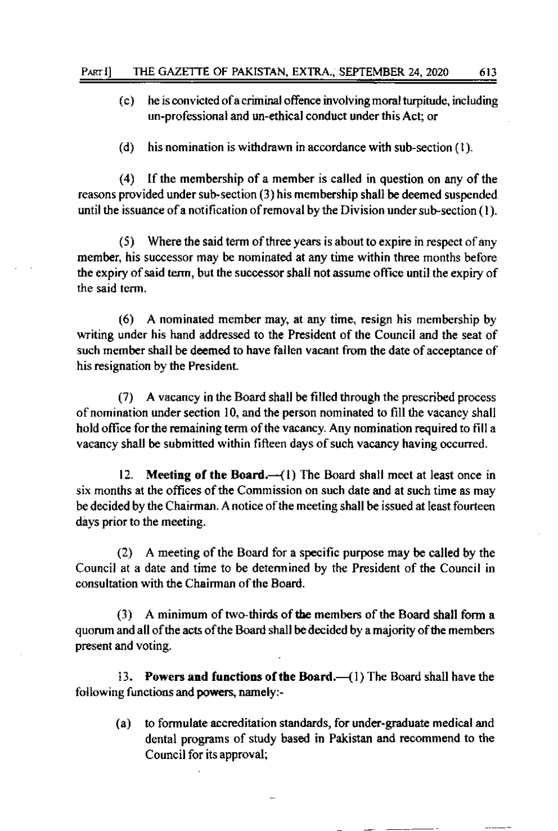- $(c)$ he is convicted of a criminal offence involving moral turpitude, including un-professional and un-ethical conduct under this Act; or
- his nomination is withdrawn in accordance with sub-section (1).  $(d)$

If the membership of a member is called in question on any of the  $(4)$ reasons provided under sub-section (3) his membership shall be deemed suspended until the issuance of a notification of removal by the Division under sub-section (1).

Where the said term of three years is about to expire in respect of any (S) member, his successor may be nominated at any time within three months before the expiry of said term, but the successor shall not assume office until the expiry of the said term.

(6) A nominated member may, at any time, resign his membership by writing under his hand addressed to the President of the Council and the seat of such member shall be deemed to have fallen vacant from the date of acceptance of his resignation by the President.

(7) A vacancy in the Board shall be filled through the prescribed process of nomination under section 10, and the person nominated to fill the vacancy shall hold office for the remaining term of the vacancy. Any nomination required to fill a vacancy shall be submitted within fifteen days of such vacancy having occurred.

12. **Meeting of the Board.**  $-(1)$  The Board shall meet at least once in six months at the offices of the Commission on such date and at such time as may be decided by the Chairman. A notice of the meeting shall be issued at least fourteen days prior to the meeting.

(2) A meeting of the Board for a specific purpose may be called by the Council at a date and time to be determined by the President of the Council in consultation with the Chairman of the Board.

(3) A minimum of two-thirds of the members of the Board shall form a quorum and all of the acts of the Board shall be decided by a majority of the members present and voting.

13. Powers and functions of the Board.—(1) The Board shall have the following functions and powers, namely:-

to formulate accreditation standards, for under-graduate medical and  $(a)$ dental programs of study based in Pakistan and recommend to the Council for its approval;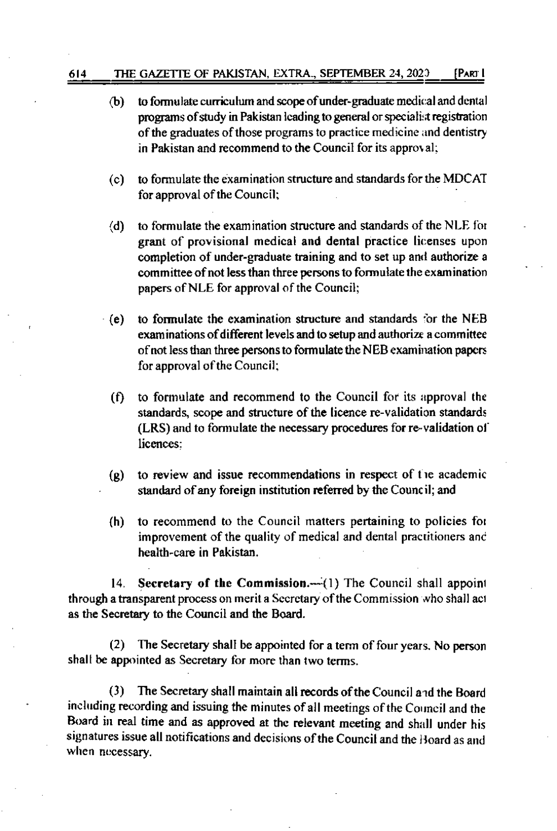- to formulate curriculum and scope of under-graduate medical and dental  $(b)$ programs of study in Pakistan leading to general or specialist registration of the graduates of those programs to practice medicine and dentistry in Pakistan and recommend to the Council for its approval;
- to formulate the examination structure and standards for the MDCAT  $(c)$ for approval of the Council;
- to formulate the examination structure and standards of the NLE for  $(d)$ grant of provisional medical and dental practice licenses upon completion of under-graduate training and to set up and authorize a committee of not less than three persons to formulate the examination papers of NLE for approval of the Council;
- to formulate the examination structure and standards for the NEB  $(e)$ examinations of different levels and to setup and authorize a committee of not less than three persons to formulate the NEB examination papers for approval of the Council;
	- to formulate and recommend to the Council for its approval the  $(f)$ standards, scope and structure of the licence re-validation standards (LRS) and to formulate the necessary procedures for re-validation of licences:
	- to review and issue recommendations in respect of the academic  $\left( \mathbf{g} \right)$ standard of any foreign institution referred by the Council; and
	- to recommend to the Council matters pertaining to policies for  $(h)$ improvement of the quality of medical and dental practitioners and health-care in Pakistan.

 $14.$ Secretary of the Commission.---(1) The Council shall appoint through a transparent process on merit a Secretary of the Commission who shall act as the Secretary to the Council and the Board.

(2) The Secretary shall be appointed for a term of four years. No person shall be appointed as Secretary for more than two terms.

The Secretary shall maintain all records of the Council and the Board  $(3)$ including recording and issuing the minutes of all meetings of the Council and the Board in real time and as approved at the relevant meeting and shall under his signatures issue all notifications and decisions of the Council and the Board as and when necessary.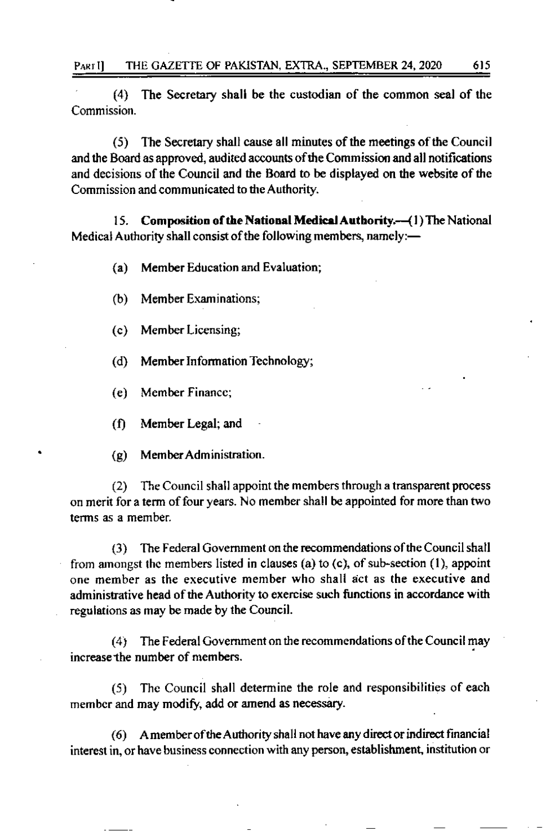The Secretary shall be the custodian of the common seal of the  $(4)$ Commission.

The Secretary shall cause all minutes of the meetings of the Council  $(5)$ and the Board as approved, audited accounts of the Commission and all notifications and decisions of the Council and the Board to be displayed on the website of the Commission and communicated to the Authority.

Composition of the National Medical Authority.-(1) The National 15. Medical Authority shall consist of the following members, namely:-

(a) Member Education and Evaluation;

- (b) Member Examinations;
- (c) Member Licensing;
- (d) Member Information Technology;
- (e) Member Finance;
- (f) Member Legal; and
- Member Administration.  $\left( \mathbf{g} \right)$

The Council shall appoint the members through a transparent process  $(2)$ on merit for a term of four years. No member shall be appointed for more than two terms as a member.

The Federal Government on the recommendations of the Council shall  $(3)$ from amongst the members listed in clauses (a) to  $(c)$ , of sub-section  $(1)$ , appoint one member as the executive member who shall act as the executive and administrative head of the Authority to exercise such functions in accordance with regulations as may be made by the Council.

The Federal Government on the recommendations of the Council may  $(4)$ increase the number of members.

The Council shall determine the role and responsibilities of each  $(5)$ member and may modify, add or amend as necessary.

(6) A member of the Authority shall not have any direct or indirect financial interest in, or have business connection with any person, establishment, institution or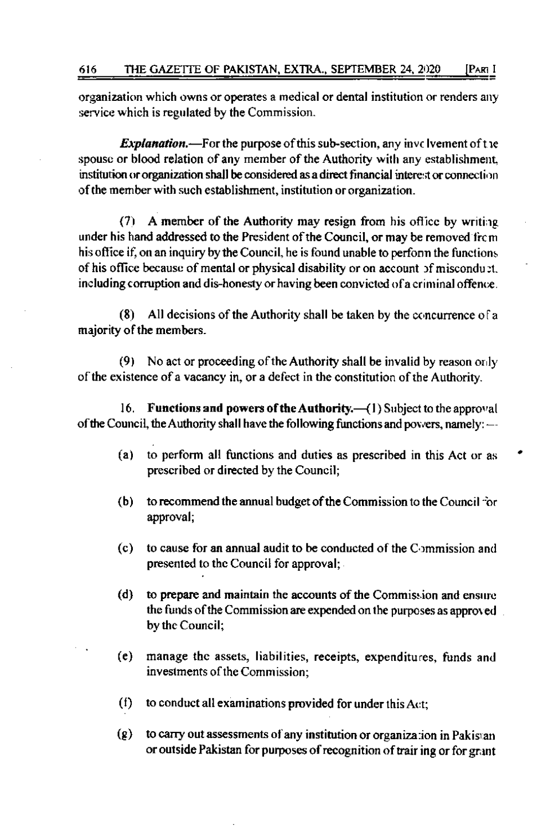organization which owns or operates a medical or dental institution or renders any service which is regulated by the Commission.

**Explanation.**—For the purpose of this sub-section, any invelvement of the spouse or blood relation of any member of the Authority with any establishment. institution or organization shall be considered as a direct financial interest or connection of the member with such establishment, institution or organization.

A member of the Authority may resign from his office by writing  $(7)$ under his hand addressed to the President of the Council, or may be removed from his office if, on an inquiry by the Council, he is found unable to perform the functions of his office because of mental or physical disability or on account of misconduct. including corruption and dis-honesty or having been convicted of a criminal offence.

All decisions of the Authority shall be taken by the concurrence of a  $(8)$ majority of the members.

(9) No act or proceeding of the Authority shall be invalid by reason only of the existence of a vacancy in, or a defect in the constitution of the Authority.

16. **Functions and powers of the Authority.**  $(1)$  Subject to the approval of the Council, the Authority shall have the following functions and powers, namely: -

- to perform all functions and duties as prescribed in this Act or as  $(a)$ prescribed or directed by the Council;
- $(b)$ to recommend the annual budget of the Commission to the Council for approval;
- to cause for an annual audit to be conducted of the Commission and  $(c)$ presented to the Council for approval;
- to prepare and maintain the accounts of the Commission and ensure (d) the funds of the Commission are expended on the purposes as approved by the Council:
- manage the assets, liabilities, receipts, expenditures, funds and  $(e)$ investments of the Commission;
- to conduct all examinations provided for under this Act;  $(f)$
- $\left( \mathbf{g} \right)$ to carry out assessments of any institution or organization in Pakistan or outside Pakistan for purposes of recognition of trair ing or for grant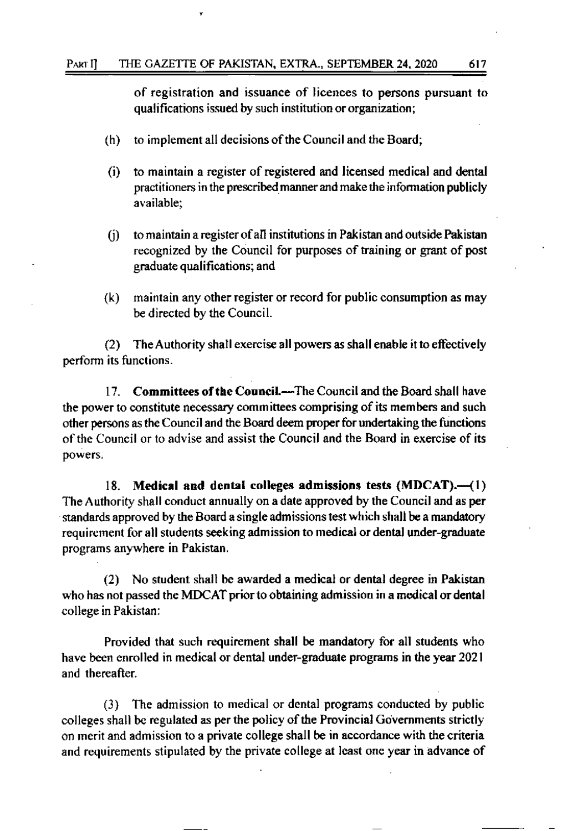#### THE GAZETTE OF PAKISTAN, EXTRA., SEPTEMBER 24, 2020 Pakt II

of registration and issuance of licences to persons pursuant to qualifications issued by such institution or organization;

- to implement all decisions of the Council and the Board;  $(h)$
- to maintain a register of registered and licensed medical and dental  $(i)$ practitioners in the prescribed manner and make the information publicly available;
- to maintain a register of all institutions in Pakistan and outside Pakistan  $(i)$ recognized by the Council for purposes of training or grant of post graduate qualifications; and
- $(k)$ maintain any other register or record for public consumption as may be directed by the Council.

 $(2)$ The Authority shall exercise all powers as shall enable it to effectively perform its functions.

17. Committees of the Council.—The Council and the Board shall have the power to constitute necessary committees comprising of its members and such other persons as the Council and the Board deem proper for undertaking the functions of the Council or to advise and assist the Council and the Board in exercise of its powers.

Medical and dental colleges admissions tests  $(MDCAT)$ . (1) 18. The Authority shall conduct annually on a date approved by the Council and as per standards approved by the Board a single admissions test which shall be a mandatory requirement for all students seeking admission to medical or dental under-graduate programs anywhere in Pakistan.

(2) No student shall be awarded a medical or dental degree in Pakistan who has not passed the MDCAT prior to obtaining admission in a medical or dental college in Pakistan:

Provided that such requirement shall be mandatory for all students who have been enrolled in medical or dental under-graduate programs in the year 2021 and thereafter.

(3) The admission to medical or dental programs conducted by public colleges shall be regulated as per the policy of the Provincial Governments strictly on merit and admission to a private college shall be in accordance with the criteria and requirements stipulated by the private college at least one year in advance of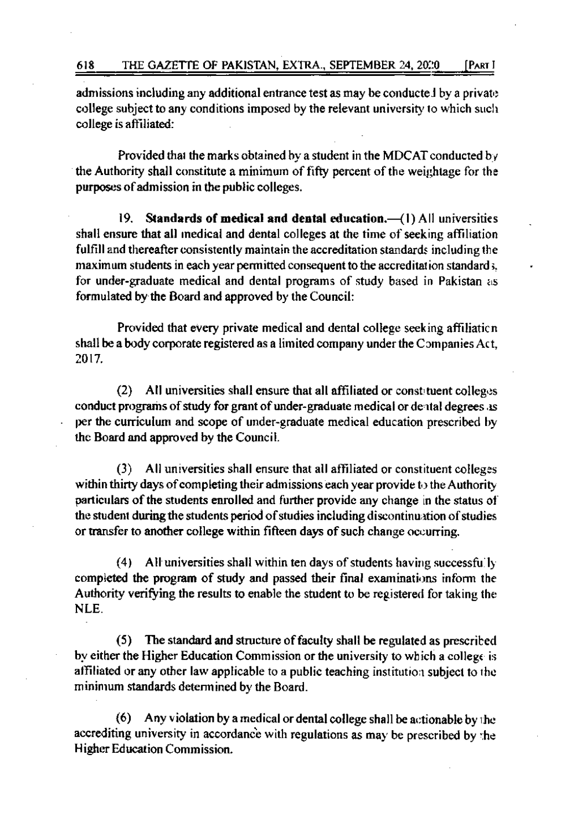admissions including any additional entrance test as may be conducted by a private college subject to any conditions imposed by the relevant university to which such college is affiliated:

Provided that the marks obtained by a student in the MDCAT conducted by the Authority shall constitute a minimum of fifty percent of the weightage for the purposes of admission in the public colleges.

Standards of medical and dental education.-(1) All universities 19. shall ensure that all medical and dental colleges at the time of seeking affiliation fulfill and thereafter consistently maintain the accreditation standards including the maximum students in each year permitted consequent to the accreditation standards. for under-graduate medical and dental programs of study based in Pakistan as formulated by the Board and approved by the Council:

Provided that every private medical and dental college seeking affiliation shall be a body corporate registered as a limited company under the Companies Act. 2017.

(2) All universities shall ensure that all affiliated or constituent colleges conduct programs of study for grant of under-graduate medical or dental degrees as per the curriculum and scope of under-graduate medical education prescribed by the Board and approved by the Council.

(3) All universities shall ensure that all affiliated or constituent colleges within thirty days of completing their admissions each year provide to the Authority particulars of the students enrolled and further provide any change in the status of the student during the students period of studies including discontinuation of studies or transfer to another college within fifteen days of such change occurring.

All universities shall within ten days of students having successfully  $(4)$ completed the program of study and passed their final examinations inform the Authority verifying the results to enable the student to be registered for taking the NLE.

(5) The standard and structure of faculty shall be regulated as prescribed by either the Higher Education Commission or the university to which a college is affiliated or any other law applicable to a public teaching institution subject to the minimum standards determined by the Board.

(6) Any violation by a medical or dental college shall be actionable by the accrediting university in accordance with regulations as may be prescribed by the Higher Education Commission.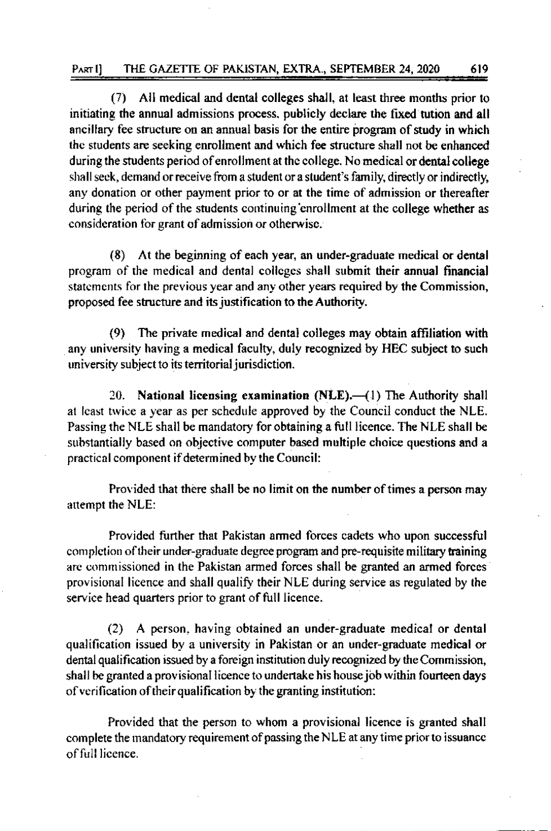All medical and dental colleges shall, at least three months prior to  $(7)$ initiating the annual admissions process, publicly declare the fixed tution and all ancillary fee structure on an annual basis for the entire program of study in which the students are seeking enrollment and which fee structure shall not be enhanced during the students period of enrollment at the college. No medical or dental college shall seek, demand or receive from a student or a student's family, directly or indirectly, any donation or other payment prior to or at the time of admission or thereafter during the period of the students continuing enrollment at the college whether as consideration for grant of admission or otherwise.

At the beginning of each year, an under-graduate medical or dental  $(8)$ program of the medical and dental colleges shall submit their annual financial statements for the previous year and any other years required by the Commission, proposed fee structure and its justification to the Authority.

The private medical and dental colleges may obtain affiliation with  $(9)$ any university having a medical faculty, duly recognized by HEC subject to such university subject to its territorial jurisdiction.

National licensing examination (NLE).—(1) The Authority shall 20. at least twice a year as per schedule approved by the Council conduct the NLE. Passing the NLE shall be mandatory for obtaining a full licence. The NLE shall be substantially based on objective computer based multiple choice questions and a practical component if determined by the Council:

Provided that there shall be no limit on the number of times a person may attempt the NLE:

Provided further that Pakistan armed forces cadets who upon successful completion of their under-graduate degree program and pre-requisite military training are commissioned in the Pakistan armed forces shall be granted an armed forces provisional licence and shall qualify their NLE during service as regulated by the service head quarters prior to grant of full licence.

A person, having obtained an under-graduate medical or dental  $(2)$ qualification issued by a university in Pakistan or an under-graduate medical or dental qualification issued by a foreign institution duly recognized by the Commission, shall be granted a provisional licence to undertake his house job within fourteen days of verification of their qualification by the granting institution:

Provided that the person to whom a provisional licence is granted shall complete the mandatory requirement of passing the NLE at any time prior to issuance of full licence.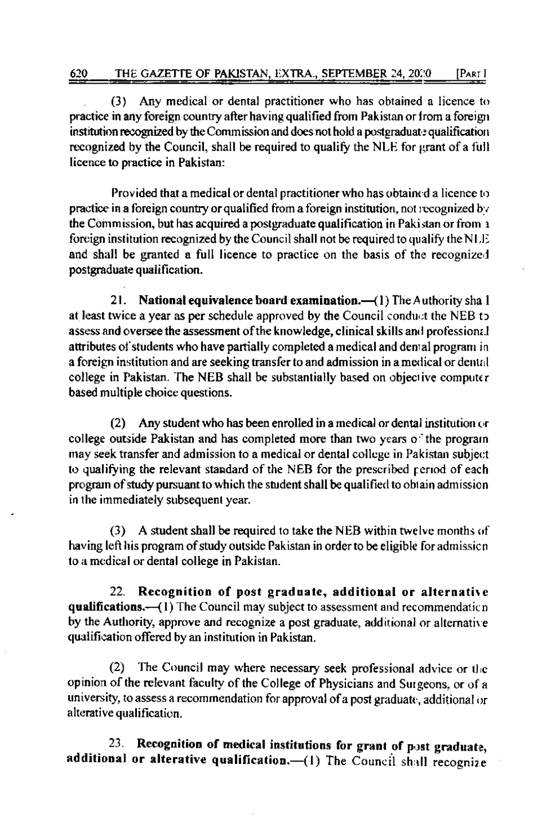Any medical or dental practitioner who has obtained a licence to  $(3)$ practice in any foreign country after having qualified from Pakistan or from a foreign institution recognized by the Commission and does not hold a postgraduate qualification recognized by the Council, shall be required to qualify the NLE for grant of a full licence to practice in Pakistan:

Provided that a medical or dental practitioner who has obtained a licence to practice in a foreign country or qualified from a foreign institution, not recognized by the Commission, but has acquired a postgraduate qualification in Pakistan or from a foreign institution recognized by the Council shall not be required to qualify the NLE and shall be granted a full licence to practice on the basis of the recognized postgraduate qualification.

 $21.$ **National equivalence board examination.**  $(1)$  The Authority sha 1 at least twice a year as per schedule approved by the Council conduct the NEB to assess and oversee the assessment of the knowledge, clinical skills and professional attributes of students who have partially completed a medical and dental program in a foreign institution and are seeking transfer to and admission in a medical or dental college in Pakistan. The NEB shall be substantially based on objective computer based multiple choice questions.

Any student who has been enrolled in a medical or dental institution or  $(2)$ college outside Pakistan and has completed more than two years of the program may seek transfer and admission to a medical or dental college in Pakistan subject to qualifying the relevant standard of the NEB for the prescribed period of each program of study pursuant to which the student shall be qualified to obtain admission in the immediately subsequent year.

A student shall be required to take the NEB within twelve months of  $(3)$ having left his program of study outside Pakistan in order to be eligible for admission to a medical or dental college in Pakistan.

Recognition of post graduate, additional or alternative 22. qualifications.-(1) The Council may subject to assessment and recommendation by the Authority, approve and recognize a post graduate, additional or alternative qualification offered by an institution in Pakistan.

 $(2)$ The Council may where necessary seek professional advice or the opinion of the relevant faculty of the College of Physicians and Surgeons, or of a university, to assess a recommendation for approval of a post graduate, additional or alterative qualification.

Recognition of medical institutions for grant of post graduate,  $23.$ additional or alterative qualification. (1) The Council shall recognize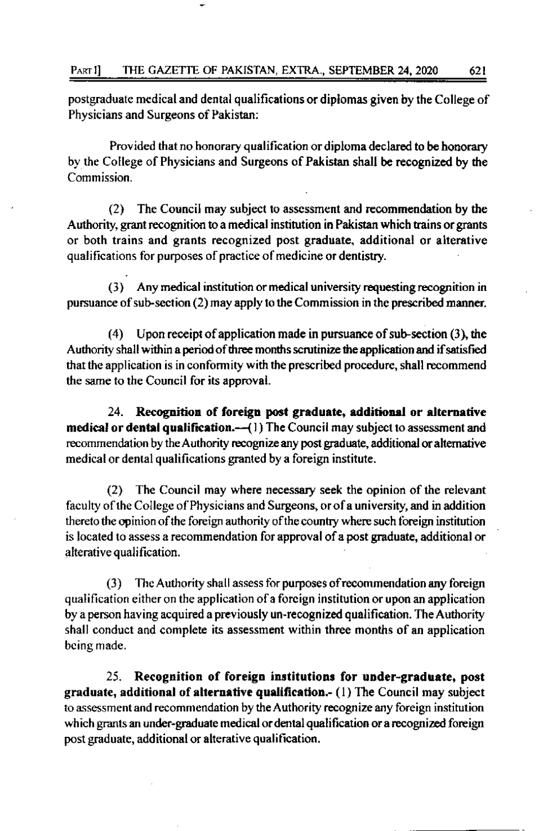#### THE GAZETTE OF PAKISTAN, EXTRA., SEPTEMBER 24, 2020 PART I]

postgraduate medical and dental qualifications or diplomas given by the College of Physicians and Surgeons of Pakistan:

621

Provided that no honorary qualification or diploma declared to be honorary by the College of Physicians and Surgeons of Pakistan shall be recognized by the Commission.

 $(2)$ The Council may subject to assessment and recommendation by the Authority, grant recognition to a medical institution in Pakistan which trains or grants or both trains and grants recognized post graduate, additional or alterative qualifications for purposes of practice of medicine or dentistry.

 $(3)$ Any medical institution or medical university requesting recognition in pursuance of sub-section (2) may apply to the Commission in the prescribed manner.

Upon receipt of application made in pursuance of sub-section  $(3)$ , the  $(4)$ Authority shall within a period of three months scrutinize the application and if satisfied that the application is in conformity with the prescribed procedure, shall recommend the same to the Council for its approval.

Recognition of foreign post graduate, additional or alternative 24. medical or dental qualification.-- (1) The Council may subject to assessment and recommendation by the Authority recognize any post graduate, additional or alternative medical or dental qualifications granted by a foreign institute.

(2) The Council may where necessary seek the opinion of the relevant faculty of the College of Physicians and Surgeons, or of a university, and in addition thereto the opinion of the foreign authority of the country where such foreign institution is located to assess a recommendation for approval of a post graduate, additional or alterative qualification.

The Authority shall assess for purposes of recommendation any foreign  $(3)$ qualification either on the application of a foreign institution or upon an application by a person having acquired a previously un-recognized qualification. The Authority shall conduct and complete its assessment within three months of an application being made.

 $25.$ Recognition of foreign institutions for under-graduate, post graduate, additional of alternative qualification.- (1) The Council may subject to assessment and recommendation by the Authority recognize any foreign institution which grants an under-graduate medical or dental qualification or a recognized foreign post graduate, additional or alterative qualification.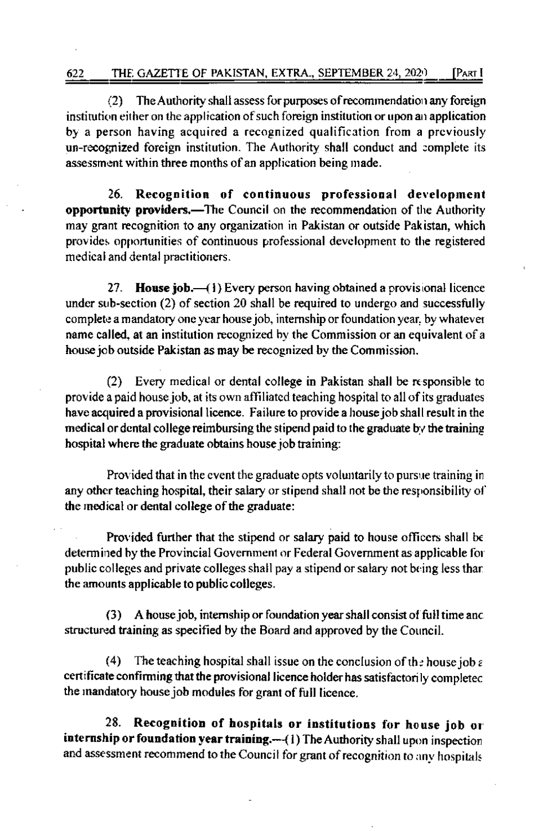$(2)$ The Authority shall assess for purposes of recommendation any foreign institution either on the application of such foreign institution or upon an application by a person having acquired a recognized qualification from a previously un-recognized foreign institution. The Authority shall conduct and complete its assessment within three months of an application being made.

26. Recognition of continuous professional development opportunity providers.—The Council on the recommendation of the Authority may grant recognition to any organization in Pakistan or outside Pakistan, which provides opportunities of continuous professional development to the registered medical and dental practitioners.

**House job.**  $\leftarrow$  (1) Every person having obtained a provisional licence 27. under sub-section (2) of section 20 shall be required to undergo and successfully complete a mandatory one year house job, internship or foundation year, by whatever name called, at an institution recognized by the Commission or an equivalent of a house job outside Pakistan as may be recognized by the Commission.

(2) Every medical or dental college in Pakistan shall be responsible to provide a paid house job, at its own affiliated teaching hospital to all of its graduates have acquired a provisional licence. Failure to provide a house job shall result in the medical or dental college reimbursing the stipend paid to the graduate by the training hospital where the graduate obtains house job training:

Provided that in the event the graduate opts voluntarily to pursue training in any other teaching hospital, their salary or stipend shall not be the responsibility of the medical or dental college of the graduate:

Provided further that the stipend or salary paid to house officers shall be determined by the Provincial Government or Federal Government as applicable for public colleges and private colleges shall pay a stipend or salary not being less than the amounts applicable to public colleges.

A house job, internship or foundation year shall consist of full time and  $(3)$ structured training as specified by the Board and approved by the Council.

The teaching hospital shall issue on the conclusion of the house job  $\varepsilon$  $(4)$ certificate confirming that the provisional licence holder has satisfactorily completed the mandatory house job modules for grant of full licence.

28. Recognition of hospitals or institutions for house job or internship or foundation year training.-- (1) The Authority shall upon inspection and assessment recommend to the Council for grant of recognition to any hospitals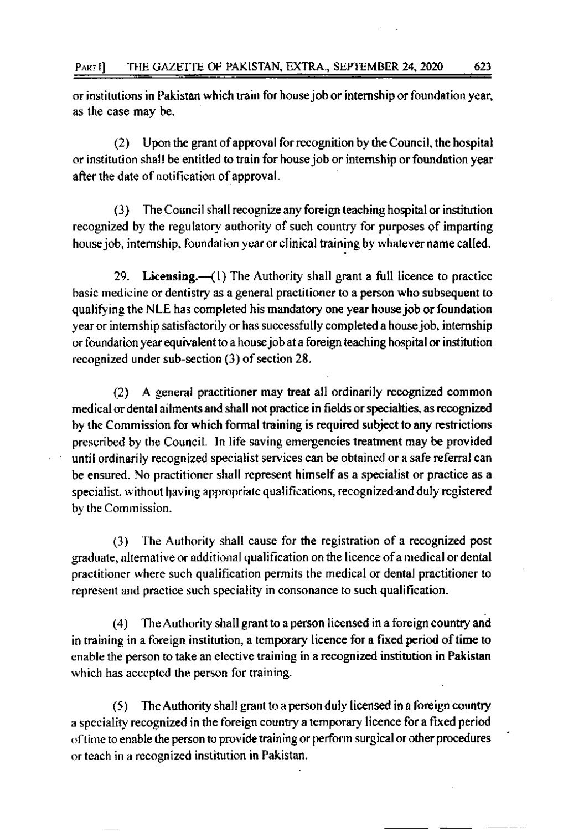or institutions in Pakistan which train for house job or internship or foundation year, as the case may be.

Upon the grant of approval for recognition by the Council, the hospital  $(2)$ or institution shall be entitled to train for house job or internship or foundation year after the date of notification of approval.

The Council shall recognize any foreign teaching hospital or institution  $(3)$ recognized by the regulatory authority of such country for purposes of imparting house job, internship, foundation year or clinical training by whatever name called.

Licensing. $-(1)$  The Authority shall grant a full licence to practice 29. basic medicine or dentistry as a general practitioner to a person who subsequent to qualifying the NLE has completed his mandatory one year house job or foundation year or internship satisfactorily or has successfully completed a house job, internship or foundation year equivalent to a house job at a foreign teaching hospital or institution recognized under sub-section (3) of section 28.

A general practitioner may treat all ordinarily recognized common  $(2)$ medical or dental ailments and shall not practice in fields or specialties, as recognized by the Commission for which formal training is required subject to any restrictions prescribed by the Council. In life saving emergencies treatment may be provided until ordinarily recognized specialist services can be obtained or a safe referral can be ensured. No practitioner shall represent himself as a specialist or practice as a specialist, without having appropriate qualifications, recognized and duly registered by the Commission.

 $(3)$ The Authority shall cause for the registration of a recognized post graduate, alternative or additional qualification on the licence of a medical or dental practitioner where such qualification permits the medical or dental practitioner to represent and practice such speciality in consonance to such qualification.

The Authority shall grant to a person licensed in a foreign country and  $(4)$ in training in a foreign institution, a temporary licence for a fixed period of time to enable the person to take an elective training in a recognized institution in Pakistan which has accepted the person for training.

The Authority shall grant to a person duly licensed in a foreign country  $(5)$ a speciality recognized in the foreign country a temporary licence for a fixed period of time to enable the person to provide training or perform surgical or other procedures or teach in a recognized institution in Pakistan.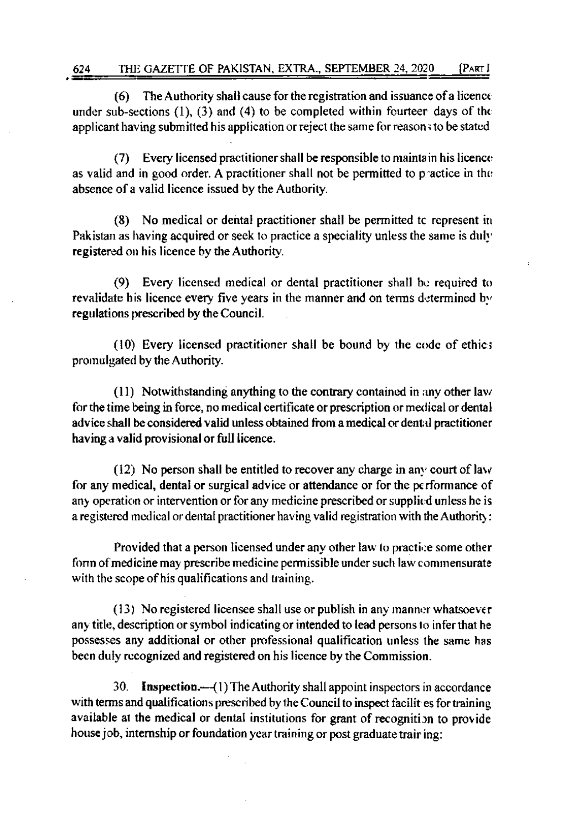$(6)$ The Authority shall cause for the registration and issuance of a licence under sub-sections  $(1)$ ,  $(3)$  and  $(4)$  to be completed within fourteer days of the applicant having submitted his application or reject the same for reasons to be stated

Every licensed practitioner shall be responsible to maintain his licence  $(7)$ as valid and in good order. A practitioner shall not be permitted to practice in the absence of a valid licence issued by the Authority.

(8) No medical or dental practitioner shall be permitted to represent in Pakistan as having acquired or seek to practice a speciality unless the same is duly registered on his licence by the Authority.

Every licensed medical or dental practitioner shall be required to (9). revalidate his licence every five years in the manner and on terms determined by regulations prescribed by the Council.

(10) Every licensed practitioner shall be bound by the code of ethics promulgated by the Authority.

(11) Notwithstanding anything to the contrary contained in any other law for the time being in force, no medical certificate or prescription or medical or dental advice shall be considered valid unless obtained from a medical or dental practitioner having a valid provisional or full licence.

 $(12)$  No person shall be entitled to recover any charge in any court of law for any medical, dental or surgical advice or attendance or for the performance of any operation or intervention or for any medicine prescribed or supplied unless he is a registered medical or dental practitioner having valid registration with the Authority:

Provided that a person licensed under any other law to practice some other form of medicine may prescribe medicine permissible under such law commensurate with the scope of his qualifications and training.

(13) No registered licensee shall use or publish in any manner whatsoever any title, description or symbol indicating or intended to lead persons to infer that he possesses any additional or other professional qualification unless the same has been duly recognized and registered on his licence by the Commission.

30. **Inspection.**—(1) The Authority shall appoint inspectors in accordance with terms and qualifications prescribed by the Council to inspect facilities for training available at the medical or dental institutions for grant of recognition to provide house job, internship or foundation year training or post graduate training: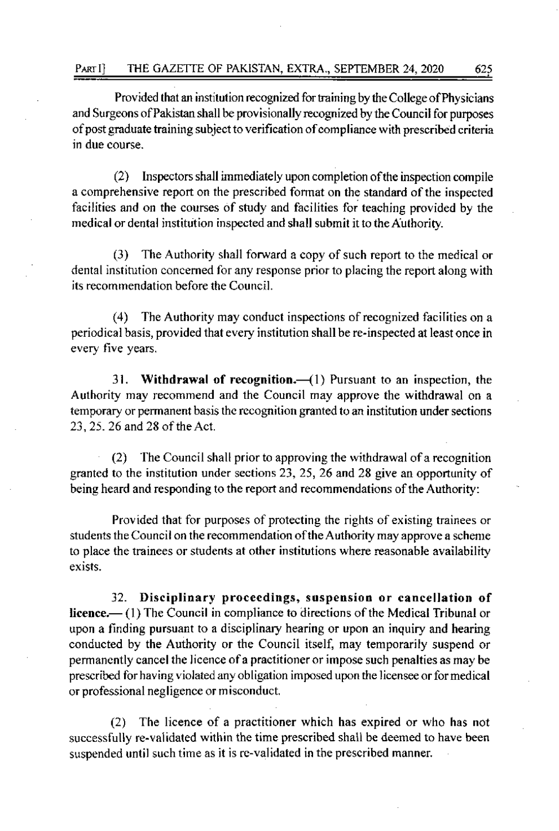Provided that an institution recognized for training by the College of Physicians and Surgeons of Pakistan shall be provisionally recognized by the Council for purposes of post graduate training subject to verification of compliance with prescribed criteria in due course.

 $(2)$  Inspectors shall immediately upon completion of the inspection compile a comprehensive report on the prescribed format on the standard of the inspected facilities and on the courses of study and facilities for teaching provided by the medical or dental institution inspected and shall submit it to the Authority.

 $(3)$  The Authority shall forward a copy of such report to the medical or dental institution concerned for any response prior to placing the report along with its recommendation before the Council

(4) The Authority may conduct inspections ofrecognized facilities on <sup>a</sup> periodical basis, provided that every institution shall be re-inspected at least once in every five years.

31. Withdrawal of recognition.— $(1)$  Pursuant to an inspection, the Authority may recommend and the Council may approve the withdrawal on a temporary or permanent basis the recognition granted to an institution under sections 23, 25, 26 and 28 of the Act.

(2) The Council shall prior to approving the withdrawal of a recognition grantcd to the institution under sections 23, 25, 26 and 28 give an opportunity of being heard and responding to the report and recommendations of the Authority:

Provided that for purposes of protecting the rights of existing trainees or students the Council on the recommendation of the Authority may approve a scheme to place the trainees or students at other institutions where reasonable availability exists.

32. Disciplinary proceedings, suspension or cancellation of licence. $-$  (1) The Council in compliance to directions of the Medical Tribunal or upon a finding pursuant to a disciplinary hearing or upon an inquiry and hearing conducted by the Authority or the Council itself, may temporarily suspend or permanently cancel the licence of a practitioner or impose such penalties as may be prescribed forhaving violated any obligation imposed upon the licensee or for medical or professional negligence or misconduct.

(2) The licence of a practitiooer which has expired or who has not successlully re-validated within the time prescribed shali be deemed to have been suspended until such time as it is re-validated in the prescribed manner.